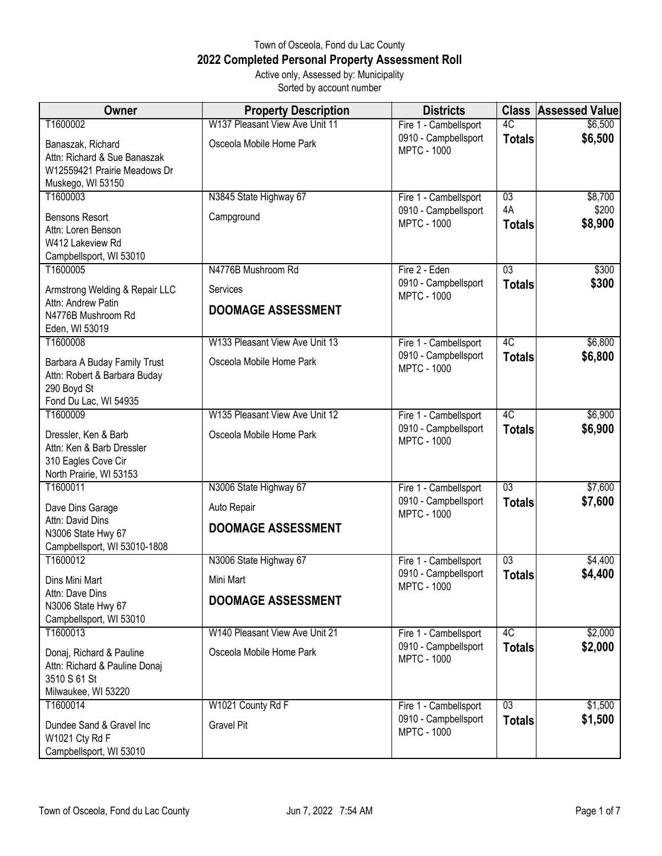## Town of Osceola, Fond du Lac County **2022 Completed Personal Property Assessment Roll** Active only, Assessed by: Municipality

Sorted by account number

| <b>Owner</b>                                                                                           | <b>Property Description</b>    | <b>Districts</b>                           | <b>Class</b>        | <b>Assessed Value</b> |
|--------------------------------------------------------------------------------------------------------|--------------------------------|--------------------------------------------|---------------------|-----------------------|
| T1600002                                                                                               | W137 Pleasant View Ave Unit 11 | Fire 1 - Cambellsport                      | $\overline{4C}$     | \$6,500               |
| Banaszak, Richard<br>Attn: Richard & Sue Banaszak<br>W12559421 Prairie Meadows Dr<br>Muskego, WI 53150 | Osceola Mobile Home Park       | 0910 - Campbellsport<br><b>MPTC - 1000</b> | <b>Totals</b>       | \$6,500               |
| T1600003                                                                                               | N3845 State Highway 67         | Fire 1 - Cambellsport                      | $\overline{03}$     | \$8,700               |
| <b>Bensons Resort</b><br>Attn: Loren Benson<br>W412 Lakeview Rd<br>Campbellsport, WI 53010             | Campground                     | 0910 - Campbellsport<br><b>MPTC - 1000</b> | 4A<br><b>Totals</b> | \$200<br>\$8,900      |
| T1600005                                                                                               | N4776B Mushroom Rd             | Fire 2 - Eden                              | 03                  | \$300                 |
| Armstrong Welding & Repair LLC                                                                         | Services                       | 0910 - Campbellsport<br><b>MPTC - 1000</b> | <b>Totals</b>       | \$300                 |
| Attn: Andrew Patin<br>N4776B Mushroom Rd                                                               | <b>DOOMAGE ASSESSMENT</b>      |                                            |                     |                       |
| Eden, WI 53019                                                                                         |                                |                                            |                     |                       |
| T1600008                                                                                               | W133 Pleasant View Ave Unit 13 | Fire 1 - Cambellsport                      | 4C                  | \$6,800               |
| Barbara A Buday Family Trust<br>Attn: Robert & Barbara Buday<br>290 Boyd St<br>Fond Du Lac, WI 54935   | Osceola Mobile Home Park       | 0910 - Campbellsport<br><b>MPTC - 1000</b> | <b>Totals</b>       | \$6,800               |
| T1600009                                                                                               | W135 Pleasant View Ave Unit 12 | Fire 1 - Cambellsport                      | 4C                  | \$6,900               |
| Dressler, Ken & Barb<br>Attn: Ken & Barb Dressler<br>310 Eagles Cove Cir<br>North Prairie, WI 53153    | Osceola Mobile Home Park       | 0910 - Campbellsport<br><b>MPTC - 1000</b> | <b>Totals</b>       | \$6,900               |
| T1600011                                                                                               | N3006 State Highway 67         | Fire 1 - Cambellsport                      | $\overline{03}$     | \$7,600               |
| Dave Dins Garage                                                                                       | Auto Repair                    | 0910 - Campbellsport<br><b>MPTC - 1000</b> | <b>Totals</b>       | \$7,600               |
| Attn: David Dins<br>N3006 State Hwy 67<br>Campbellsport, WI 53010-1808                                 | <b>DOOMAGE ASSESSMENT</b>      |                                            |                     |                       |
| T1600012                                                                                               | N3006 State Highway 67         | Fire 1 - Cambellsport                      | $\overline{03}$     | \$4,400               |
| Dins Mini Mart                                                                                         | Mini Mart                      | 0910 - Campbellsport<br><b>MPTC - 1000</b> | <b>Totals</b>       | \$4,400               |
| Attn: Dave Dins<br>N3006 State Hwy 67<br>Campbellsport, WI 53010                                       | <b>DOOMAGE ASSESSMENT</b>      |                                            |                     |                       |
| T1600013                                                                                               | W140 Pleasant View Ave Unit 21 | Fire 1 - Cambellsport                      | 4C                  | \$2,000               |
| Donaj, Richard & Pauline<br>Attn: Richard & Pauline Donaj<br>3510 S 61 St<br>Milwaukee, WI 53220       | Osceola Mobile Home Park       | 0910 - Campbellsport<br><b>MPTC - 1000</b> | <b>Totals</b>       | \$2,000               |
| T1600014                                                                                               | W1021 County Rd F              | Fire 1 - Cambellsport                      | $\overline{03}$     | \$1,500               |
| Dundee Sand & Gravel Inc<br>W1021 Cty Rd F<br>Campbellsport, WI 53010                                  | <b>Gravel Pit</b>              | 0910 - Campbellsport<br><b>MPTC - 1000</b> | <b>Totals</b>       | \$1,500               |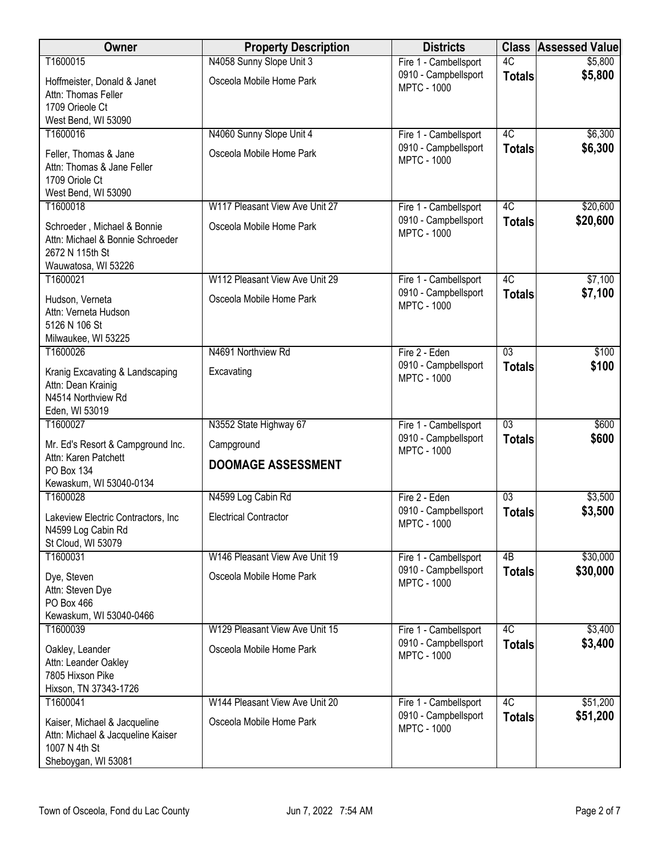| Owner                                                                                                     | <b>Property Description</b>    | <b>Districts</b>                              | <b>Class</b>    | <b>Assessed Value</b> |
|-----------------------------------------------------------------------------------------------------------|--------------------------------|-----------------------------------------------|-----------------|-----------------------|
| T1600015                                                                                                  | N4058 Sunny Slope Unit 3       | Fire 1 - Cambellsport                         | 4C              | \$5,800               |
| Hoffmeister, Donald & Janet<br>Attn: Thomas Feller<br>1709 Orieole Ct                                     | Osceola Mobile Home Park       | 0910 - Campbellsport<br><b>MPTC - 1000</b>    | <b>Totals</b>   | \$5,800               |
| West Bend, WI 53090<br>T1600016                                                                           | N4060 Sunny Slope Unit 4       |                                               | 4C              | \$6,300               |
|                                                                                                           |                                | Fire 1 - Cambellsport<br>0910 - Campbellsport | <b>Totals</b>   | \$6,300               |
| Feller, Thomas & Jane<br>Attn: Thomas & Jane Feller<br>1709 Oriole Ct<br>West Bend, WI 53090              | Osceola Mobile Home Park       | <b>MPTC - 1000</b>                            |                 |                       |
| T1600018                                                                                                  | W117 Pleasant View Ave Unit 27 | Fire 1 - Cambellsport                         | $\overline{4C}$ | \$20,600              |
| Schroeder, Michael & Bonnie<br>Attn: Michael & Bonnie Schroeder<br>2672 N 115th St<br>Wauwatosa, WI 53226 | Osceola Mobile Home Park       | 0910 - Campbellsport<br><b>MPTC - 1000</b>    | <b>Totals</b>   | \$20,600              |
| T1600021                                                                                                  | W112 Pleasant View Ave Unit 29 | Fire 1 - Cambellsport                         | 4C              | \$7,100               |
| Hudson, Verneta<br>Attn: Verneta Hudson<br>5126 N 106 St<br>Milwaukee, WI 53225                           | Osceola Mobile Home Park       | 0910 - Campbellsport<br><b>MPTC - 1000</b>    | <b>Totals</b>   | \$7,100               |
| T1600026                                                                                                  | N4691 Northview Rd             | Fire 2 - Eden                                 | $\overline{03}$ | \$100                 |
| Kranig Excavating & Landscaping<br>Attn: Dean Krainig<br>N4514 Northview Rd<br>Eden, WI 53019             | Excavating                     | 0910 - Campbellsport<br><b>MPTC - 1000</b>    | <b>Totals</b>   | \$100                 |
| T1600027                                                                                                  | N3552 State Highway 67         | Fire 1 - Cambellsport                         | $\overline{03}$ | \$600                 |
| Mr. Ed's Resort & Campground Inc.<br>Attn: Karen Patchett                                                 | Campground                     | 0910 - Campbellsport<br><b>MPTC - 1000</b>    | <b>Totals</b>   | \$600                 |
| <b>PO Box 134</b><br>Kewaskum, WI 53040-0134                                                              | <b>DOOMAGE ASSESSMENT</b>      |                                               |                 |                       |
| T1600028                                                                                                  | N4599 Log Cabin Rd             | Fire 2 - Eden                                 | $\overline{03}$ | \$3,500               |
| Lakeview Electric Contractors, Inc.<br>N4599 Log Cabin Rd<br>St Cloud, WI 53079                           | <b>Electrical Contractor</b>   | 0910 - Campbellsport<br><b>MPTC - 1000</b>    | <b>Totals</b>   | \$3,500               |
| T1600031                                                                                                  | W146 Pleasant View Ave Unit 19 | Fire 1 - Cambellsport                         | $\overline{AB}$ | \$30,000              |
| Dye, Steven<br>Attn: Steven Dye<br>PO Box 466<br>Kewaskum, WI 53040-0466                                  | Osceola Mobile Home Park       | 0910 - Campbellsport<br><b>MPTC - 1000</b>    | <b>Totals</b>   | \$30,000              |
| T1600039                                                                                                  | W129 Pleasant View Ave Unit 15 | Fire 1 - Cambellsport                         | 4C              | \$3,400               |
| Oakley, Leander<br>Attn: Leander Oakley<br>7805 Hixson Pike<br>Hixson, TN 37343-1726                      | Osceola Mobile Home Park       | 0910 - Campbellsport<br><b>MPTC - 1000</b>    | <b>Totals</b>   | \$3,400               |
| T1600041                                                                                                  | W144 Pleasant View Ave Unit 20 | Fire 1 - Cambellsport                         | 4C              | \$51,200              |
| Kaiser, Michael & Jacqueline<br>Attn: Michael & Jacqueline Kaiser<br>1007 N 4th St<br>Sheboygan, WI 53081 | Osceola Mobile Home Park       | 0910 - Campbellsport<br><b>MPTC - 1000</b>    | <b>Totals</b>   | \$51,200              |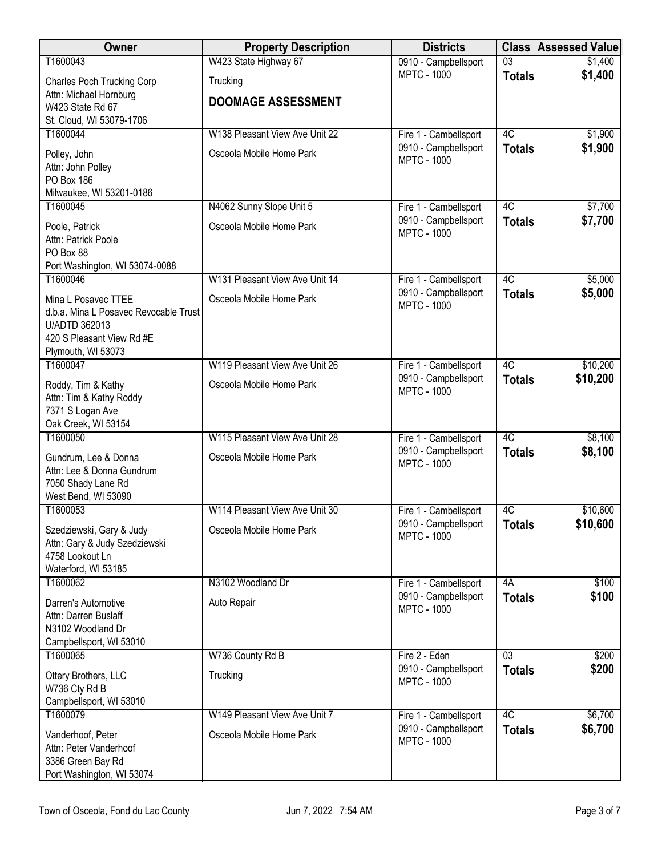| Owner                                                     | <b>Property Description</b>    | <b>Districts</b>                           | <b>Class</b>    | <b>Assessed Value</b> |
|-----------------------------------------------------------|--------------------------------|--------------------------------------------|-----------------|-----------------------|
| T1600043                                                  | W423 State Highway 67          | 0910 - Campbellsport                       | $\overline{03}$ | \$1,400               |
| <b>Charles Poch Trucking Corp</b>                         | Trucking                       | <b>MPTC - 1000</b>                         | <b>Totals</b>   | \$1,400               |
| Attn: Michael Hornburg                                    | <b>DOOMAGE ASSESSMENT</b>      |                                            |                 |                       |
| W423 State Rd 67<br>St. Cloud, WI 53079-1706              |                                |                                            |                 |                       |
| T1600044                                                  | W138 Pleasant View Ave Unit 22 | Fire 1 - Cambellsport                      | $\overline{4C}$ | \$1,900               |
| Polley, John                                              | Osceola Mobile Home Park       | 0910 - Campbellsport                       | <b>Totals</b>   | \$1,900               |
| Attn: John Polley                                         |                                | <b>MPTC - 1000</b>                         |                 |                       |
| PO Box 186                                                |                                |                                            |                 |                       |
| Milwaukee, WI 53201-0186                                  |                                |                                            |                 |                       |
| T1600045                                                  | N4062 Sunny Slope Unit 5       | Fire 1 - Cambellsport                      | 4C              | \$7,700               |
| Poole, Patrick                                            | Osceola Mobile Home Park       | 0910 - Campbellsport<br><b>MPTC - 1000</b> | <b>Totals</b>   | \$7,700               |
| Attn: Patrick Poole                                       |                                |                                            |                 |                       |
| PO Box 88<br>Port Washington, WI 53074-0088               |                                |                                            |                 |                       |
| T1600046                                                  | W131 Pleasant View Ave Unit 14 | Fire 1 - Cambellsport                      | 4C              | \$5,000               |
| Mina L Posavec TTEE                                       | Osceola Mobile Home Park       | 0910 - Campbellsport                       | <b>Totals</b>   | \$5,000               |
| d.b.a. Mina L Posavec Revocable Trust                     |                                | <b>MPTC - 1000</b>                         |                 |                       |
| U/ADTD 362013                                             |                                |                                            |                 |                       |
| 420 S Pleasant View Rd #E                                 |                                |                                            |                 |                       |
| Plymouth, WI 53073<br>T1600047                            | W119 Pleasant View Ave Unit 26 | Fire 1 - Cambellsport                      | 4C              | \$10,200              |
|                                                           |                                | 0910 - Campbellsport                       | <b>Totals</b>   | \$10,200              |
| Roddy, Tim & Kathy<br>Attn: Tim & Kathy Roddy             | Osceola Mobile Home Park       | <b>MPTC - 1000</b>                         |                 |                       |
| 7371 S Logan Ave                                          |                                |                                            |                 |                       |
| Oak Creek, WI 53154                                       |                                |                                            |                 |                       |
| T1600050                                                  | W115 Pleasant View Ave Unit 28 | Fire 1 - Cambellsport                      | 4C              | \$8,100               |
| Gundrum, Lee & Donna                                      | Osceola Mobile Home Park       | 0910 - Campbellsport<br><b>MPTC - 1000</b> | <b>Totals</b>   | \$8,100               |
| Attn: Lee & Donna Gundrum                                 |                                |                                            |                 |                       |
| 7050 Shady Lane Rd<br>West Bend, WI 53090                 |                                |                                            |                 |                       |
| T1600053                                                  | W114 Pleasant View Ave Unit 30 | Fire 1 - Cambellsport                      | 4C              | \$10,600              |
|                                                           | Osceola Mobile Home Park       | 0910 - Campbellsport                       | <b>Totals</b>   | \$10,600              |
| Szedziewski, Gary & Judy<br>Attn: Gary & Judy Szedziewski |                                | <b>MPTC - 1000</b>                         |                 |                       |
| 4758 Lookout Ln                                           |                                |                                            |                 |                       |
| Waterford, WI 53185                                       |                                |                                            |                 |                       |
| T1600062                                                  | N3102 Woodland Dr              | Fire 1 - Cambellsport                      | 4A              | \$100                 |
| Darren's Automotive                                       | Auto Repair                    | 0910 - Campbellsport<br><b>MPTC - 1000</b> | <b>Totals</b>   | \$100                 |
| Attn: Darren Buslaff<br>N3102 Woodland Dr                 |                                |                                            |                 |                       |
| Campbellsport, WI 53010                                   |                                |                                            |                 |                       |
| T1600065                                                  | W736 County Rd B               | Fire 2 - Eden                              | $\overline{03}$ | \$200                 |
| Ottery Brothers, LLC                                      | Trucking                       | 0910 - Campbellsport                       | <b>Totals</b>   | \$200                 |
| W736 Cty Rd B                                             |                                | <b>MPTC - 1000</b>                         |                 |                       |
| Campbellsport, WI 53010                                   |                                |                                            |                 |                       |
| T1600079                                                  | W149 Pleasant View Ave Unit 7  | Fire 1 - Cambellsport                      | 4C              | \$6,700               |
| Vanderhoof, Peter                                         | Osceola Mobile Home Park       | 0910 - Campbellsport<br><b>MPTC - 1000</b> | <b>Totals</b>   | \$6,700               |
| Attn: Peter Vanderhoof                                    |                                |                                            |                 |                       |
| 3386 Green Bay Rd<br>Port Washington, WI 53074            |                                |                                            |                 |                       |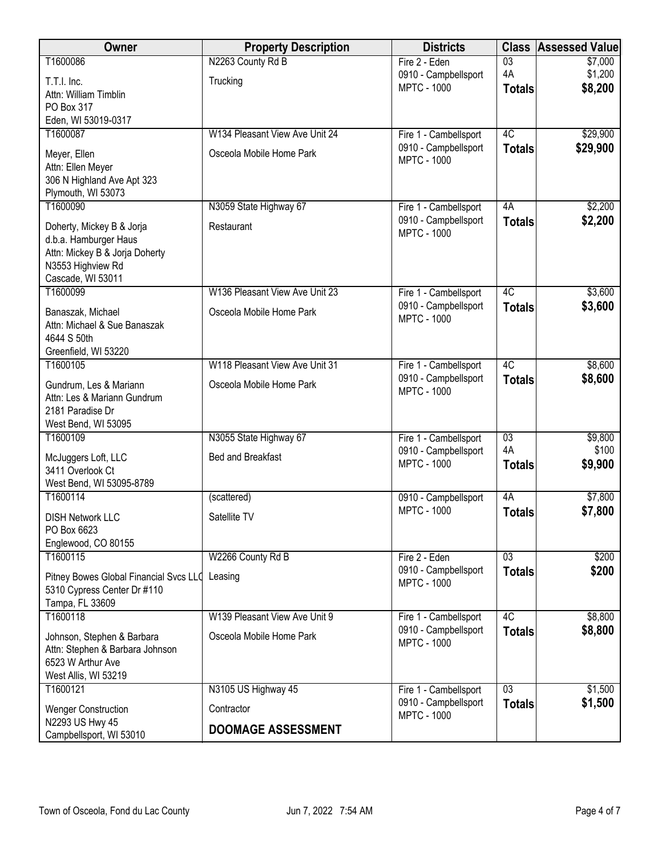| Owner                                  | <b>Property Description</b>    | <b>Districts</b>                              | <b>Class</b>    | <b>Assessed Value</b> |
|----------------------------------------|--------------------------------|-----------------------------------------------|-----------------|-----------------------|
| T1600086                               | N2263 County Rd B              | Fire 2 - Eden                                 | $\overline{03}$ | \$7,000               |
| T.T.I. Inc.                            | Trucking                       | 0910 - Campbellsport                          | 4A              | \$1,200               |
| Attn: William Timblin                  |                                | <b>MPTC - 1000</b>                            | <b>Totals</b>   | \$8,200               |
| PO Box 317                             |                                |                                               |                 |                       |
| Eden, WI 53019-0317                    |                                |                                               |                 |                       |
| T1600087                               | W134 Pleasant View Ave Unit 24 | Fire 1 - Cambellsport                         | 4C              | \$29,900              |
| Meyer, Ellen                           | Osceola Mobile Home Park       | 0910 - Campbellsport<br><b>MPTC - 1000</b>    | <b>Totals</b>   | \$29,900              |
| Attn: Ellen Meyer                      |                                |                                               |                 |                       |
| 306 N Highland Ave Apt 323             |                                |                                               |                 |                       |
| Plymouth, WI 53073                     |                                |                                               |                 |                       |
| T1600090                               | N3059 State Highway 67         | Fire 1 - Cambellsport                         | 4A              | \$2,200               |
| Doherty, Mickey B & Jorja              | Restaurant                     | 0910 - Campbellsport<br><b>MPTC - 1000</b>    | <b>Totals</b>   | \$2,200               |
| d.b.a. Hamburger Haus                  |                                |                                               |                 |                       |
| Attn: Mickey B & Jorja Doherty         |                                |                                               |                 |                       |
| N3553 Highview Rd                      |                                |                                               |                 |                       |
| Cascade, WI 53011                      |                                |                                               |                 |                       |
| T1600099                               | W136 Pleasant View Ave Unit 23 | Fire 1 - Cambellsport<br>0910 - Campbellsport | 4C              | \$3,600               |
| Banaszak, Michael                      | Osceola Mobile Home Park       | <b>MPTC - 1000</b>                            | <b>Totals</b>   | \$3,600               |
| Attn: Michael & Sue Banaszak           |                                |                                               |                 |                       |
| 4644 S 50th                            |                                |                                               |                 |                       |
| Greenfield, WI 53220                   | W118 Pleasant View Ave Unit 31 |                                               | 4C              |                       |
| T1600105                               |                                | Fire 1 - Cambellsport<br>0910 - Campbellsport |                 | \$8,600               |
| Gundrum, Les & Mariann                 | Osceola Mobile Home Park       | <b>MPTC - 1000</b>                            | <b>Totals</b>   | \$8,600               |
| Attn: Les & Mariann Gundrum            |                                |                                               |                 |                       |
| 2181 Paradise Dr                       |                                |                                               |                 |                       |
| West Bend, WI 53095<br>T1600109        | N3055 State Highway 67         | Fire 1 - Cambellsport                         | $\overline{03}$ | \$9,800               |
|                                        |                                | 0910 - Campbellsport                          | 4A              | \$100                 |
| McJuggers Loft, LLC                    | <b>Bed and Breakfast</b>       | <b>MPTC - 1000</b>                            | <b>Totals</b>   | \$9,900               |
| 3411 Overlook Ct                       |                                |                                               |                 |                       |
| West Bend, WI 53095-8789<br>T1600114   | (scattered)                    |                                               | 4A              |                       |
|                                        |                                | 0910 - Campbellsport<br><b>MPTC - 1000</b>    |                 | \$7,800<br>\$7,800    |
| <b>DISH Network LLC</b>                | Satellite TV                   |                                               | <b>Totals</b>   |                       |
| PO Box 6623                            |                                |                                               |                 |                       |
| Englewood, CO 80155                    |                                |                                               |                 |                       |
| T1600115                               | W2266 County Rd B              | Fire 2 - Eden<br>0910 - Campbellsport         | 03              | \$200                 |
| Pitney Bowes Global Financial Svcs LLC | Leasing                        | <b>MPTC - 1000</b>                            | <b>Totals</b>   | \$200                 |
| 5310 Cypress Center Dr #110            |                                |                                               |                 |                       |
| Tampa, FL 33609                        |                                |                                               |                 |                       |
| T1600118                               | W139 Pleasant View Ave Unit 9  | Fire 1 - Cambellsport                         | 4C              | \$8,800               |
| Johnson, Stephen & Barbara             | Osceola Mobile Home Park       | 0910 - Campbellsport<br><b>MPTC - 1000</b>    | <b>Totals</b>   | \$8,800               |
| Attn: Stephen & Barbara Johnson        |                                |                                               |                 |                       |
| 6523 W Arthur Ave                      |                                |                                               |                 |                       |
| West Allis, WI 53219                   |                                |                                               |                 |                       |
| T1600121                               | N3105 US Highway 45            | Fire 1 - Cambellsport                         | $\overline{03}$ | \$1,500               |
| <b>Wenger Construction</b>             | Contractor                     | 0910 - Campbellsport<br><b>MPTC - 1000</b>    | <b>Totals</b>   | \$1,500               |
| N2293 US Hwy 45                        | <b>DOOMAGE ASSESSMENT</b>      |                                               |                 |                       |
| Campbellsport, WI 53010                |                                |                                               |                 |                       |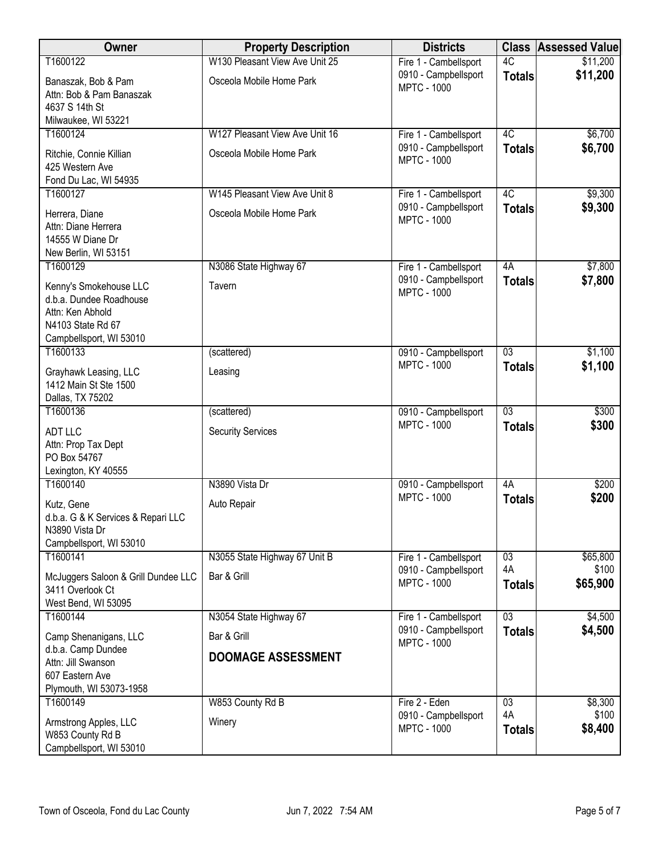| Owner                                                                                                                 | <b>Property Description</b>    | <b>Districts</b>                           | <b>Class</b>        | <b>Assessed Value</b> |
|-----------------------------------------------------------------------------------------------------------------------|--------------------------------|--------------------------------------------|---------------------|-----------------------|
| T1600122                                                                                                              | W130 Pleasant View Ave Unit 25 | Fire 1 - Cambellsport                      | 4C                  | \$11,200              |
| Banaszak, Bob & Pam<br>Attn: Bob & Pam Banaszak<br>4637 S 14th St                                                     | Osceola Mobile Home Park       | 0910 - Campbellsport<br><b>MPTC - 1000</b> | <b>Totals</b>       | \$11,200              |
| Milwaukee, WI 53221                                                                                                   |                                |                                            |                     |                       |
| T1600124                                                                                                              | W127 Pleasant View Ave Unit 16 | Fire 1 - Cambellsport                      | 4C                  | \$6,700               |
| Ritchie, Connie Killian<br>425 Western Ave<br>Fond Du Lac, WI 54935                                                   | Osceola Mobile Home Park       | 0910 - Campbellsport<br><b>MPTC - 1000</b> | <b>Totals</b>       | \$6,700               |
| T1600127                                                                                                              | W145 Pleasant View Ave Unit 8  | Fire 1 - Cambellsport                      | 4C                  | \$9,300               |
| Herrera, Diane<br>Attn: Diane Herrera<br>14555 W Diane Dr<br>New Berlin, WI 53151                                     | Osceola Mobile Home Park       | 0910 - Campbellsport<br><b>MPTC - 1000</b> | <b>Totals</b>       | \$9,300               |
| T1600129                                                                                                              | N3086 State Highway 67         | Fire 1 - Cambellsport                      | 4A                  | \$7,800               |
| Kenny's Smokehouse LLC<br>d.b.a. Dundee Roadhouse<br>Attn: Ken Abhold<br>N4103 State Rd 67<br>Campbellsport, WI 53010 | Tavern                         | 0910 - Campbellsport<br><b>MPTC - 1000</b> | <b>Totals</b>       | \$7,800               |
| T1600133                                                                                                              | (scattered)                    | 0910 - Campbellsport                       | $\overline{03}$     | \$1,100               |
| Grayhawk Leasing, LLC<br>1412 Main St Ste 1500<br>Dallas, TX 75202                                                    | Leasing                        | <b>MPTC - 1000</b>                         | <b>Totals</b>       | \$1,100               |
| T1600136                                                                                                              | (scattered)                    | 0910 - Campbellsport                       | $\overline{03}$     | \$300                 |
| <b>ADT LLC</b><br>Attn: Prop Tax Dept<br>PO Box 54767<br>Lexington, KY 40555                                          | <b>Security Services</b>       | <b>MPTC - 1000</b>                         | <b>Totals</b>       | \$300                 |
| T1600140                                                                                                              | N3890 Vista Dr                 | 0910 - Campbellsport                       | 4A                  | \$200                 |
| Kutz, Gene<br>d.b.a. G & K Services & Repari LLC<br>N3890 Vista Dr<br>Campbellsport, WI 53010                         | Auto Repair                    | <b>MPTC - 1000</b>                         | <b>Totals</b>       | \$200                 |
| T1600141                                                                                                              | N3055 State Highway 67 Unit B  | Fire 1 - Cambellsport                      | $\overline{03}$     | \$65,800              |
| McJuggers Saloon & Grill Dundee LLC<br>3411 Overlook Ct<br>West Bend, WI 53095                                        | Bar & Grill                    | 0910 - Campbellsport<br><b>MPTC - 1000</b> | 4A<br><b>Totals</b> | \$100<br>\$65,900     |
| T1600144                                                                                                              | N3054 State Highway 67         | Fire 1 - Cambellsport                      | 03                  | \$4,500               |
| Camp Shenanigans, LLC<br>d.b.a. Camp Dundee                                                                           | Bar & Grill                    | 0910 - Campbellsport<br><b>MPTC - 1000</b> | <b>Totals</b>       | \$4,500               |
| Attn: Jill Swanson<br>607 Eastern Ave<br>Plymouth, WI 53073-1958                                                      | <b>DOOMAGE ASSESSMENT</b>      |                                            |                     |                       |
| T1600149                                                                                                              | W853 County Rd B               | Fire 2 - Eden                              | $\overline{03}$     | \$8,300               |
| Armstrong Apples, LLC<br>W853 County Rd B<br>Campbellsport, WI 53010                                                  | Winery                         | 0910 - Campbellsport<br><b>MPTC - 1000</b> | 4A<br><b>Totals</b> | \$100<br>\$8,400      |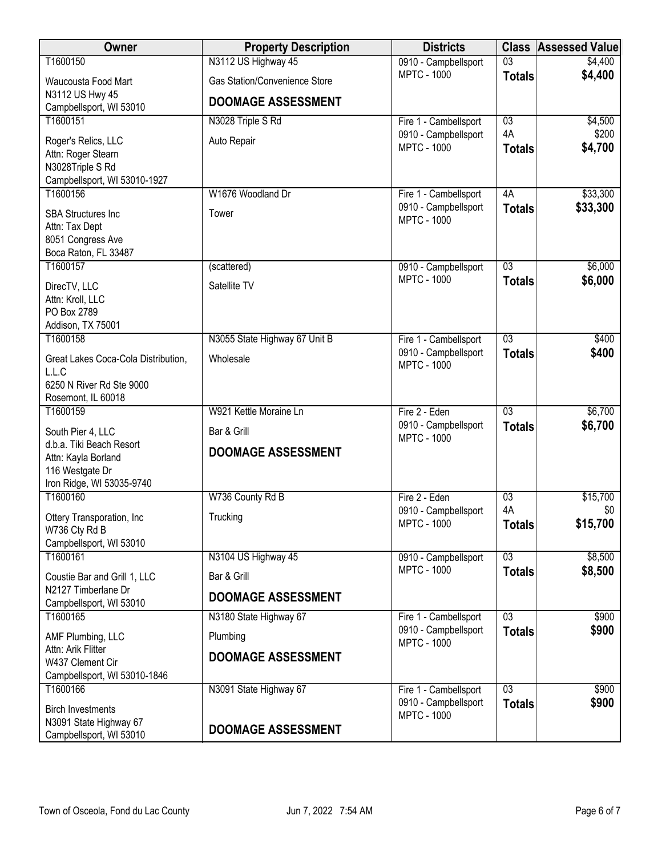| Owner                                              | <b>Property Description</b>   | <b>Districts</b>                              | <b>Class</b>        | <b>Assessed Value</b> |
|----------------------------------------------------|-------------------------------|-----------------------------------------------|---------------------|-----------------------|
| T1600150                                           | N3112 US Highway 45           | 0910 - Campbellsport                          | $\overline{03}$     | \$4,400               |
| Waucousta Food Mart                                | Gas Station/Convenience Store | <b>MPTC - 1000</b>                            | <b>Totals</b>       | \$4,400               |
| N3112 US Hwy 45                                    | <b>DOOMAGE ASSESSMENT</b>     |                                               |                     |                       |
| Campbellsport, WI 53010<br>T1600151                | N3028 Triple S Rd             | Fire 1 - Cambellsport                         | 03                  | \$4,500               |
|                                                    |                               | 0910 - Campbellsport                          | 4A                  | \$200                 |
| Roger's Relics, LLC<br>Attn: Roger Stearn          | Auto Repair                   | <b>MPTC - 1000</b>                            | <b>Totals</b>       | \$4,700               |
| N3028Triple S Rd                                   |                               |                                               |                     |                       |
| Campbellsport, WI 53010-1927                       |                               |                                               |                     |                       |
| T1600156                                           | W1676 Woodland Dr             | Fire 1 - Cambellsport<br>0910 - Campbellsport | 4A<br><b>Totals</b> | \$33,300<br>\$33,300  |
| <b>SBA Structures Inc</b>                          | Tower                         | <b>MPTC - 1000</b>                            |                     |                       |
| Attn: Tax Dept<br>8051 Congress Ave                |                               |                                               |                     |                       |
| Boca Raton, FL 33487                               |                               |                                               |                     |                       |
| T1600157                                           | (scattered)                   | 0910 - Campbellsport                          | $\overline{03}$     | \$6,000               |
| DirecTV, LLC                                       | Satellite TV                  | <b>MPTC - 1000</b>                            | <b>Totals</b>       | \$6,000               |
| Attn: Kroll, LLC                                   |                               |                                               |                     |                       |
| PO Box 2789<br>Addison, TX 75001                   |                               |                                               |                     |                       |
| T1600158                                           | N3055 State Highway 67 Unit B | Fire 1 - Cambellsport                         | $\overline{03}$     | \$400                 |
| Great Lakes Coca-Cola Distribution,                | Wholesale                     | 0910 - Campbellsport                          | <b>Totals</b>       | \$400                 |
| L.L.C                                              |                               | <b>MPTC - 1000</b>                            |                     |                       |
| 6250 N River Rd Ste 9000                           |                               |                                               |                     |                       |
| Rosemont, IL 60018<br>T1600159                     | W921 Kettle Moraine Ln        | Fire 2 - Eden                                 | $\overline{03}$     | \$6,700               |
|                                                    | Bar & Grill                   | 0910 - Campbellsport                          | <b>Totals</b>       | \$6,700               |
| South Pier 4, LLC<br>d.b.a. Tiki Beach Resort      |                               | <b>MPTC - 1000</b>                            |                     |                       |
| Attn: Kayla Borland                                | <b>DOOMAGE ASSESSMENT</b>     |                                               |                     |                       |
| 116 Westgate Dr                                    |                               |                                               |                     |                       |
| Iron Ridge, WI 53035-9740<br>T1600160              | W736 County Rd B              | Fire 2 - Eden                                 | 03                  | \$15,700              |
| Ottery Transporation, Inc.                         | Trucking                      | 0910 - Campbellsport                          | 4A                  | \$0                   |
| W736 Cty Rd B                                      |                               | <b>MPTC - 1000</b>                            | <b>Totals</b>       | \$15,700              |
| Campbellsport, WI 53010                            |                               |                                               |                     |                       |
| T1600161                                           | N3104 US Highway 45           | 0910 - Campbellsport<br><b>MPTC - 1000</b>    | 03                  | \$8,500               |
| Coustie Bar and Grill 1, LLC                       | Bar & Grill                   |                                               | <b>Totals</b>       | \$8,500               |
| N2127 Timberlane Dr<br>Campbellsport, WI 53010     | <b>DOOMAGE ASSESSMENT</b>     |                                               |                     |                       |
| T1600165                                           | N3180 State Highway 67        | Fire 1 - Cambellsport                         | $\overline{03}$     | \$900                 |
| AMF Plumbing, LLC                                  | Plumbing                      | 0910 - Campbellsport                          | <b>Totals</b>       | \$900                 |
| Attn: Arik Flitter                                 | <b>DOOMAGE ASSESSMENT</b>     | <b>MPTC - 1000</b>                            |                     |                       |
| W437 Clement Cir                                   |                               |                                               |                     |                       |
| Campbellsport, WI 53010-1846<br>T1600166           | N3091 State Highway 67        | Fire 1 - Cambellsport                         | $\overline{03}$     | \$900                 |
|                                                    |                               | 0910 - Campbellsport                          | <b>Totals</b>       | \$900                 |
| <b>Birch Investments</b><br>N3091 State Highway 67 |                               | <b>MPTC - 1000</b>                            |                     |                       |
| Campbellsport, WI 53010                            | <b>DOOMAGE ASSESSMENT</b>     |                                               |                     |                       |